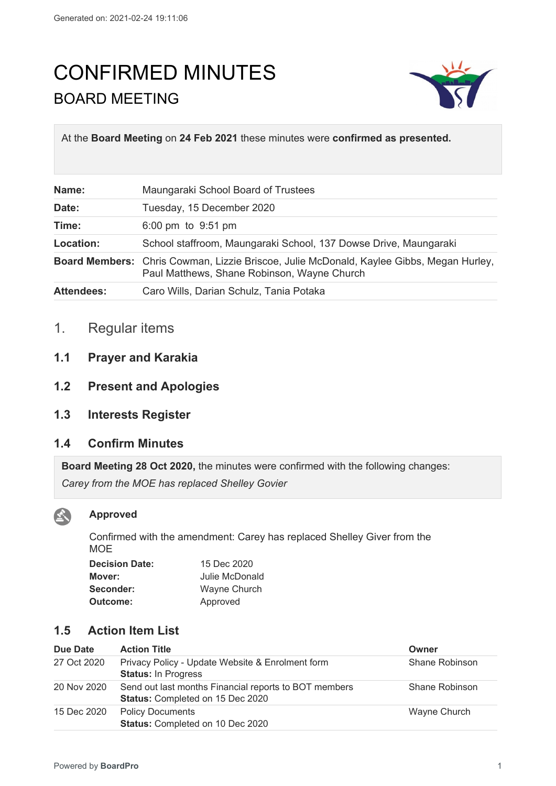# CONFIRMED MINUTES BOARD MEETING



At the **Board Meeting** on **24 Feb 2021** these minutes were **confirmed as presented.**

| Name:             | Maungaraki School Board of Trustees                                                                                                            |
|-------------------|------------------------------------------------------------------------------------------------------------------------------------------------|
| Date:             | Tuesday, 15 December 2020                                                                                                                      |
| Time:             | 6:00 pm to 9:51 pm                                                                                                                             |
| Location:         | School staffroom, Maungaraki School, 137 Dowse Drive, Maungaraki                                                                               |
|                   | <b>Board Members:</b> Chris Cowman, Lizzie Briscoe, Julie McDonald, Kaylee Gibbs, Megan Hurley,<br>Paul Matthews, Shane Robinson, Wayne Church |
| <b>Attendees:</b> | Caro Wills, Darian Schulz, Tania Potaka                                                                                                        |

# 1. Regular items

# **1.1 Prayer and Karakia**

- **1.2 Present and Apologies**
- **1.3 Interests Register**

### **1.4 Confirm Minutes**

**Board Meeting 28 Oct 2020,** the minutes were confirmed with the following changes:

*Carey from the MOE has replaced Shelley Govier*

# 公

### **Approved**

Confirmed with the amendment: Carey has replaced Shelley Giver from the **MOF** 

| <b>Decision Date:</b> | 15 Dec 2020    |
|-----------------------|----------------|
| Mover:                | Julie McDonald |
| Seconder:             | Wayne Church   |
| Outcome:              | Approved       |

# **1.5 Action Item List**

| Due Date    | <b>Action Title</b>                                                                              | Owner          |
|-------------|--------------------------------------------------------------------------------------------------|----------------|
| 27 Oct 2020 | Privacy Policy - Update Website & Enrolment form<br><b>Status: In Progress</b>                   | Shane Robinson |
| 20 Nov 2020 | Send out last months Financial reports to BOT members<br><b>Status: Completed on 15 Dec 2020</b> | Shane Robinson |
| 15 Dec 2020 | <b>Policy Documents</b><br>Status: Completed on 10 Dec 2020                                      | Wayne Church   |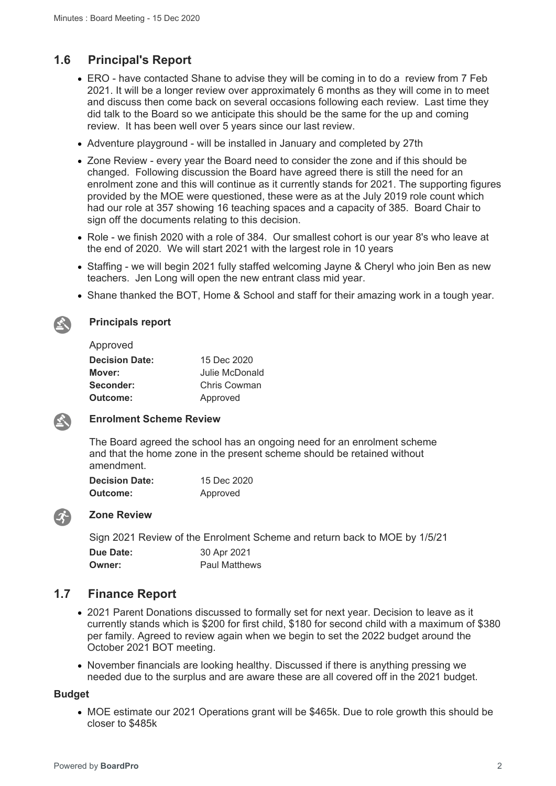### **1.6 Principal's Report**

- ERO have contacted Shane to advise they will be coming in to do a review from 7 Feb 2021. It will be a longer review over approximately 6 months as they will come in to meet and discuss then come back on several occasions following each review. Last time they did talk to the Board so we anticipate this should be the same for the up and coming review. It has been well over 5 years since our last review.
- Adventure playground will be installed in January and completed by 27th
- Zone Review every year the Board need to consider the zone and if this should be changed. Following discussion the Board have agreed there is still the need for an enrolment zone and this will continue as it currently stands for 2021. The supporting figures provided by the MOE were questioned, these were as at the July 2019 role count which had our role at 357 showing 16 teaching spaces and a capacity of 385. Board Chair to sign off the documents relating to this decision.
- Role we finish 2020 with a role of 384. Our smallest cohort is our year 8's who leave at the end of 2020. We will start 2021 with the largest role in 10 years
- Staffing we will begin 2021 fully staffed welcoming Jayne & Cheryl who join Ben as new teachers. Jen Long will open the new entrant class mid year.
- Shane thanked the BOT, Home & School and staff for their amazing work in a tough year.



### **Principals report**

| Approved              |                |
|-----------------------|----------------|
| <b>Decision Date:</b> | 15 Dec 2020    |
| Mover:                | Julie McDonald |
| Seconder:             | Chris Cowman   |
| Outcome:              | Approved       |



### **Enrolment Scheme Review**

The Board agreed the school has an ongoing need for an enrolment scheme and that the home zone in the present scheme should be retained without amendment.

| <b>Decision Date:</b> | 15 Dec 2020 |
|-----------------------|-------------|
| Outcome:              | Approved    |



### **Zone Review**

Sign 2021 Review of the Enrolment Scheme and return back to MOE by 1/5/21

| Due Date: | 30 Apr 2021          |
|-----------|----------------------|
| Owner:    | <b>Paul Matthews</b> |

### **1.7 Finance Report**

- 2021 Parent Donations discussed to formally set for next year. Decision to leave as it currently stands which is \$200 for first child, \$180 for second child with a maximum of \$380 per family. Agreed to review again when we begin to set the 2022 budget around the October 2021 BOT meeting.
- November financials are looking healthy. Discussed if there is anything pressing we needed due to the surplus and are aware these are all covered off in the 2021 budget.

### **Budget**

 MOE estimate our 2021 Operations grant will be \$465k. Due to role growth this should be closer to \$485k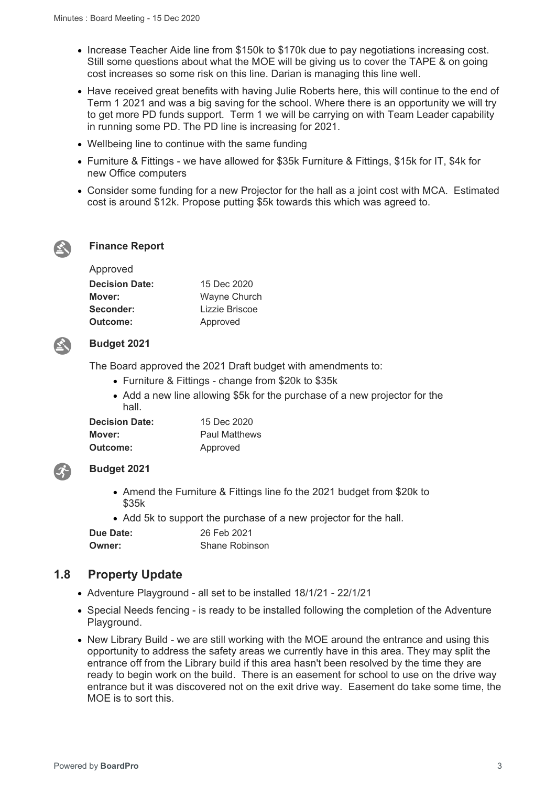- Increase Teacher Aide line from \$150k to \$170k due to pay negotiations increasing cost. Still some questions about what the MOE will be giving us to cover the TAPE & on going cost increases so some risk on this line. Darian is managing this line well.
- Have received great benefits with having Julie Roberts here, this will continue to the end of Term 1 2021 and was a big saving for the school. Where there is an opportunity we will try to get more PD funds support. Term 1 we will be carrying on with Team Leader capability in running some PD. The PD line is increasing for 2021.
- Wellbeing line to continue with the same funding
- Furniture & Fittings we have allowed for \$35k Furniture & Fittings, \$15k for IT, \$4k for new Office computers
- Consider some funding for a new Projector for the hall as a joint cost with MCA. Estimated cost is around \$12k. Propose putting \$5k towards this which was agreed to.



### **Finance Report**

| Approved              |                |
|-----------------------|----------------|
| <b>Decision Date:</b> | 15 Dec 2020    |
| Mover:                | Wayne Church   |
| Seconder:             | Lizzie Briscoe |
| Outcome:              | Approved       |



#### **Budget 2021**

The Board approved the 2021 Draft budget with amendments to:

- Furniture & Fittings change from \$20k to \$35k
- Add a new line allowing \$5k for the purchase of a new projector for the hall.

| <b>Decision Date:</b> | 15 Dec 2020          |
|-----------------------|----------------------|
| Mover:                | <b>Paul Matthews</b> |
| Outcome:              | Approved             |



#### **Budget 2021**

- Amend the Furniture & Fittings line fo the 2021 budget from \$20k to \$35k
- Add 5k to support the purchase of a new projector for the hall.

| Due Date: | 26 Feb 2021    |
|-----------|----------------|
| Owner:    | Shane Robinson |

### **1.8 Property Update**

- Adventure Playground all set to be installed 18/1/21 22/1/21
- Special Needs fencing is ready to be installed following the completion of the Adventure Playground.
- New Library Build we are still working with the MOE around the entrance and using this opportunity to address the safety areas we currently have in this area. They may split the entrance off from the Library build if this area hasn't been resolved by the time they are ready to begin work on the build. There is an easement for school to use on the drive way entrance but it was discovered not on the exit drive way. Easement do take some time, the MOE is to sort this.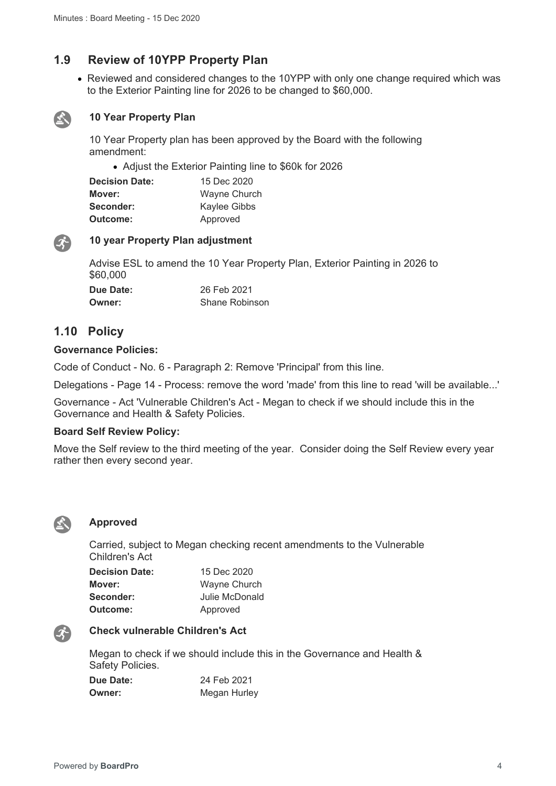# **1.9 Review of 10YPP Property Plan**

• Reviewed and considered changes to the 10YPP with only one change required which was to the Exterior Painting line for 2026 to be changed to \$60,000.



### **10 Year Property Plan**

10 Year Property plan has been approved by the Board with the following amendment:

• Adjust the Exterior Painting line to \$60k for 2026

| <b>Decision Date:</b> | 15 Dec 2020  |  |
|-----------------------|--------------|--|
| Mover:                | Wayne Church |  |
| Seconder:             | Kaylee Gibbs |  |
| Outcome:              | Approved     |  |



### **10 year Property Plan adjustment**

Advise ESL to amend the 10 Year Property Plan, Exterior Painting in 2026 to \$60,000 **Due Date:** 26 Feb 2021

| Due Dale. | ZU FEU ZUZ I          |
|-----------|-----------------------|
| Owner:    | <b>Shane Robinson</b> |

### **1.10 Policy**

### **Governance Policies:**

Code of Conduct - No. 6 - Paragraph 2: Remove 'Principal' from this line.

Delegations - Page 14 - Process: remove the word 'made' from this line to read 'will be available...'

Governance - Act 'Vulnerable Children's Act - Megan to check if we should include this in the Governance and Health & Safety Policies.

#### **Board Self Review Policy:**

Move the Self review to the third meeting of the year. Consider doing the Self Review every year rather then every second year.



### **Approved**

Carried, subject to Megan checking recent amendments to the Vulnerable Children's Act

| <b>Decision Date:</b> | 15 Dec 2020    |
|-----------------------|----------------|
| Mover:                | Wayne Church   |
| Seconder:             | Julie McDonald |
| Outcome:              | Approved       |



### **Check vulnerable Children's Act**

Megan to check if we should include this in the Governance and Health & Safety Policies.

| Due Date: | 24 Feb 2021  |
|-----------|--------------|
| Owner:    | Megan Hurley |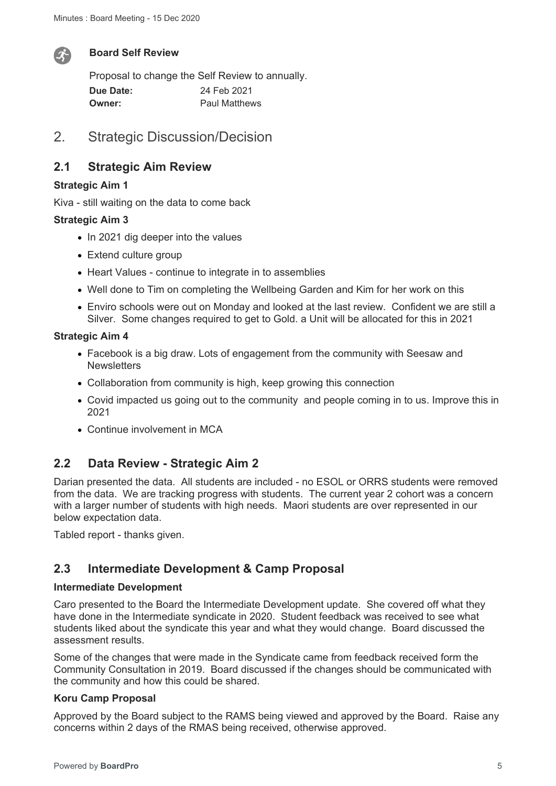

### **Board Self Review**

Proposal to change the Self Review to annually. **Due Date:** 24 Feb 2021 **Owner:** Paul Matthews

# 2. Strategic Discussion/Decision

### **2.1 Strategic Aim Review**

### **Strategic Aim 1**

Kiva - still waiting on the data to come back

### **Strategic Aim 3**

- In 2021 dig deeper into the values
- Extend culture group
- Heart Values continue to integrate in to assemblies
- Well done to Tim on completing the Wellbeing Garden and Kim for her work on this
- Enviro schools were out on Monday and looked at the last review. Confident we are still a Silver. Some changes required to get to Gold. a Unit will be allocated for this in 2021

### **Strategic Aim 4**

- Facebook is a big draw. Lots of engagement from the community with Seesaw and **Newsletters**
- Collaboration from community is high, keep growing this connection
- Covid impacted us going out to the community and people coming in to us. Improve this in 2021
- Continue involvement in MCA

# **2.2 Data Review - Strategic Aim 2**

Darian presented the data. All students are included - no ESOL or ORRS students were removed from the data. We are tracking progress with students. The current year 2 cohort was a concern with a larger number of students with high needs. Maori students are over represented in our below expectation data.

Tabled report - thanks given.

# **2.3 Intermediate Development & Camp Proposal**

### **Intermediate Development**

Caro presented to the Board the Intermediate Development update. She covered off what they have done in the Intermediate syndicate in 2020. Student feedback was received to see what students liked about the syndicate this year and what they would change. Board discussed the assessment results.

Some of the changes that were made in the Syndicate came from feedback received form the Community Consultation in 2019. Board discussed if the changes should be communicated with the community and how this could be shared.

### **Koru Camp Proposal**

Approved by the Board subject to the RAMS being viewed and approved by the Board. Raise any concerns within 2 days of the RMAS being received, otherwise approved.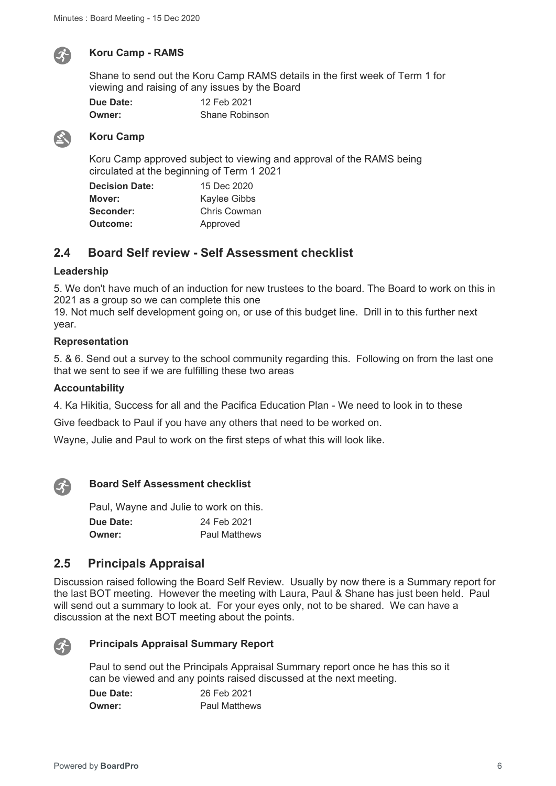

### **Koru Camp - RAMS**

Shane to send out the Koru Camp RAMS details in the first week of Term 1 for viewing and raising of any issues by the Board

| Due Date: | 12 Feb 2021           |
|-----------|-----------------------|
| Owner:    | <b>Shane Robinson</b> |



### **Koru Camp**

Koru Camp approved subject to viewing and approval of the RAMS being circulated at the beginning of Term 1 2021

| <b>Decision Date:</b> | 15 Dec 2020  |
|-----------------------|--------------|
| Mover:                | Kaylee Gibbs |
| Seconder:             | Chris Cowman |
| <b>Outcome:</b>       | Approved     |

### **2.4 Board Self review - Self Assessment checklist**

### **Leadership**

5. We don't have much of an induction for new trustees to the board. The Board to work on this in 2021 as a group so we can complete this one

19. Not much self development going on, or use of this budget line. Drill in to this further next year.

### **Representation**

5. & 6. Send out a survey to the school community regarding this. Following on from the last one that we sent to see if we are fulfilling these two areas

### **Accountability**

4. Ka Hikitia, Success for all and the Pacifica Education Plan - We need to look in to these

Give feedback to Paul if you have any others that need to be worked on.

Wayne, Julie and Paul to work on the first steps of what this will look like.



### **Board Self Assessment checklist**

Paul, Wayne and Julie to work on this. **Due Date:** 24 Feb 2021 **Owner:** Paul Matthews

### **2.5 Principals Appraisal**

Discussion raised following the Board Self Review. Usually by now there is a Summary report for the last BOT meeting. However the meeting with Laura, Paul & Shane has just been held. Paul will send out a summary to look at. For your eyes only, not to be shared. We can have a discussion at the next BOT meeting about the points.



### **Principals Appraisal Summary Report**

Paul to send out the Principals Appraisal Summary report once he has this so it can be viewed and any points raised discussed at the next meeting.

| <b>Due Date:</b> | 26 Feb 2021          |
|------------------|----------------------|
| <b>Owner:</b>    | <b>Paul Matthews</b> |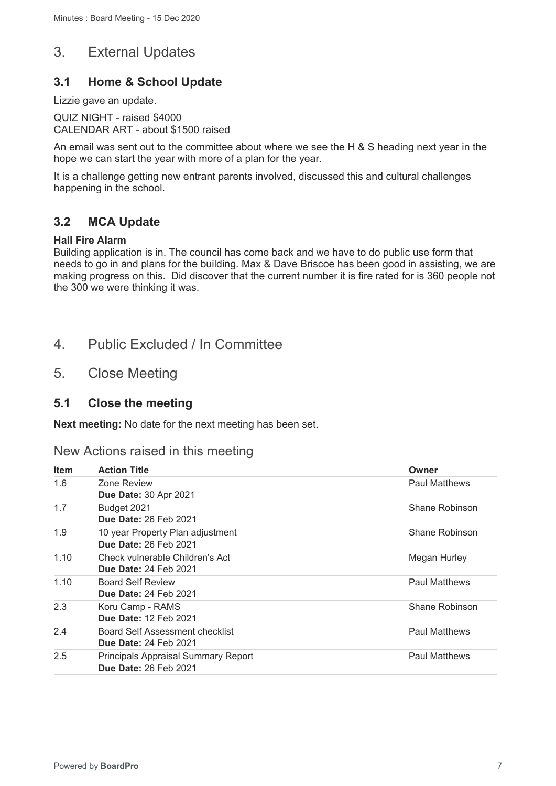# 3. External Updates

### **3.1 Home & School Update**

Lizzie gave an update.

QUIZ NIGHT - raised \$4000 CALENDAR ART - about \$1500 raised

An email was sent out to the committee about where we see the H & S heading next year in the hope we can start the year with more of a plan for the year.

It is a challenge getting new entrant parents involved, discussed this and cultural challenges happening in the school.

# **3.2 MCA Update**

### **Hall Fire Alarm**

Building application is in. The council has come back and we have to do public use form that needs to go in and plans for the building. Max & Dave Briscoe has been good in assisting, we are making progress on this. Did discover that the current number it is fire rated for is 360 people not the 300 we were thinking it was.

# 4. Public Excluded / In Committee

5. Close Meeting

### **5.1 Close the meeting**

**Next meeting:** No date for the next meeting has been set.

### New Actions raised in this meeting

| <b>Item</b> | <b>Action Title</b>                                                 | Owner                |
|-------------|---------------------------------------------------------------------|----------------------|
| 1.6         | Zone Review<br>Due Date: 30 Apr 2021                                | <b>Paul Matthews</b> |
| 1.7         | Budget 2021<br><b>Due Date: 26 Feb 2021</b>                         | Shane Robinson       |
| 1.9         | 10 year Property Plan adjustment<br><b>Due Date: 26 Feb 2021</b>    | Shane Robinson       |
| 1.10        | Check vulnerable Children's Act<br><b>Due Date: 24 Feb 2021</b>     | Megan Hurley         |
| 1.10        | <b>Board Self Review</b><br><b>Due Date: 24 Feb 2021</b>            | <b>Paul Matthews</b> |
| 2.3         | Koru Camp - RAMS<br><b>Due Date: 12 Feb 2021</b>                    | Shane Robinson       |
| 2.4         | Board Self Assessment checklist<br><b>Due Date: 24 Feb 2021</b>     | <b>Paul Matthews</b> |
| 2.5         | Principals Appraisal Summary Report<br><b>Due Date: 26 Feb 2021</b> | <b>Paul Matthews</b> |